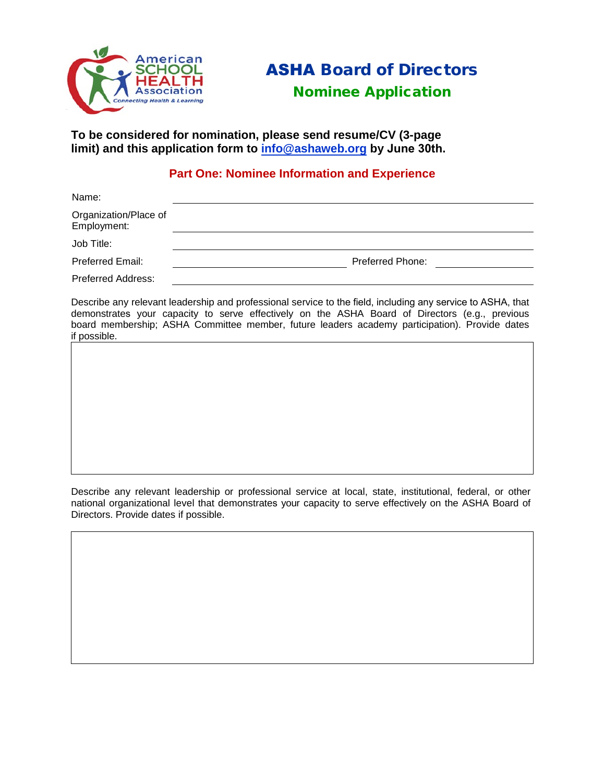

# ASHA Board of Directors

# Nominee Application

**To be considered for nomination, please send resume/CV (3-page limit) and this application form to [info@ashaweb.org](mailto:info@ashaweb.org) by June 30th.** 

# **Part One: Nominee Information and Experience**

| Name:                                |                         |
|--------------------------------------|-------------------------|
| Organization/Place of<br>Employment: |                         |
| Job Title:                           |                         |
| Preferred Email:                     | <b>Preferred Phone:</b> |
| <b>Preferred Address:</b>            |                         |

Describe any relevant leadership and professional service to the field, including any service to ASHA, that demonstrates your capacity to serve effectively on the ASHA Board of Directors (e.g., previous board membership; ASHA Committee member, future leaders academy participation). Provide dates if possible.

Describe any relevant leadership or professional service at local, state, institutional, federal, or other national organizational level that demonstrates your capacity to serve effectively on the ASHA Board of Directors. Provide dates if possible.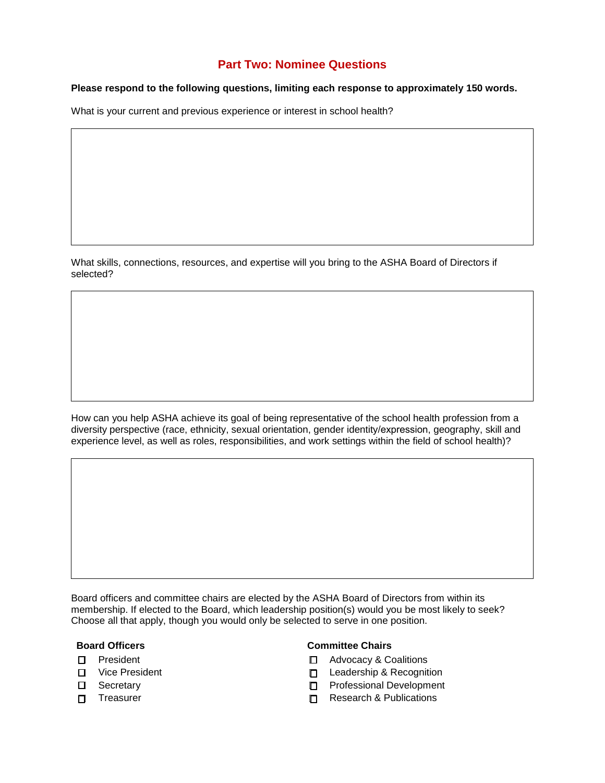# **Part Two: Nominee Questions**

## **Please respond to the following questions, limiting each response to approximately 150 words.**

What is your current and previous experience or interest in school health?

What skills, connections, resources, and expertise will you bring to the ASHA Board of Directors if selected?

How can you help ASHA achieve its goal of being representative of the school health profession from a diversity perspective (race, ethnicity, sexual orientation, gender identity/expression, geography, skill and experience level, as well as roles, responsibilities, and work settings within the field of school health)?

Board officers and committee chairs are elected by the ASHA Board of Directors from within its membership. If elected to the Board, which leadership position(s) would you be most likely to seek? Choose all that apply, though you would only be selected to serve in one position.

- 
- 
- 
- 

### **Board Officers Committee Chairs**

- ☐ President ☐ Advocacy & Coalitions
- ☐ Vice President ☐ Leadership & Recognition
- ☐ Secretary ☐ Professional Development
- ☐ Treasurer ☐ Research & Publications